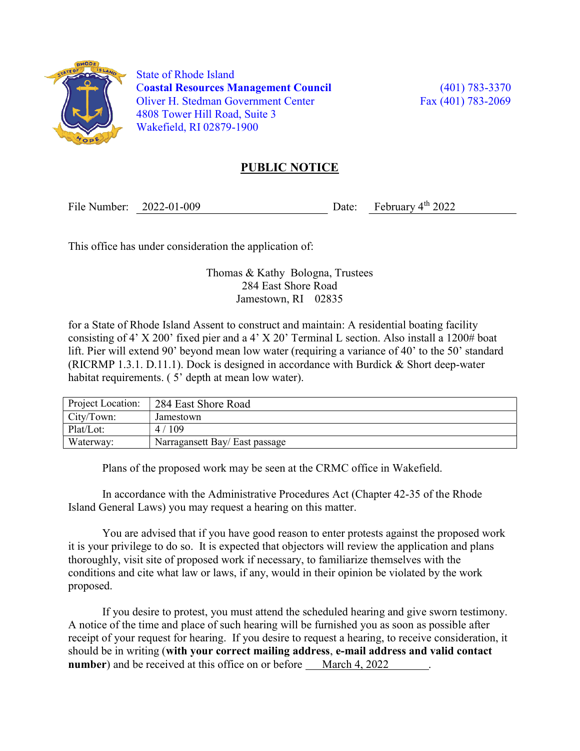

 State of Rhode Island Coastal Resources Management Council (401) 783-3370 Oliver H. Stedman Government Center Fax (401) 783-2069 4808 Tower Hill Road, Suite 3 Wakefield, RI 02879-1900

## PUBLIC NOTICE

File Number: 2022-01-009 Date: February 4<sup>th</sup> 2022

This office has under consideration the application of:

Thomas & Kathy Bologna, Trustees 284 East Shore Road Jamestown, RI 02835

for a State of Rhode Island Assent to construct and maintain: A residential boating facility consisting of 4' X 200' fixed pier and a 4' X 20' Terminal L section. Also install a  $1200\#$  boat lift. Pier will extend 90' beyond mean low water (requiring a variance of 40' to the 50' standard (RICRMP 1.3.1. D.11.1). Dock is designed in accordance with Burdick & Short deep-water habitat requirements. (5<sup>o</sup> depth at mean low water).

| Project Location: | 284 East Shore Road            |
|-------------------|--------------------------------|
| City/Town:        | Jamestown                      |
| Plat/Lot:         | 4/109                          |
| Waterway:         | Narragansett Bay/ East passage |

Plans of the proposed work may be seen at the CRMC office in Wakefield.

In accordance with the Administrative Procedures Act (Chapter 42-35 of the Rhode Island General Laws) you may request a hearing on this matter.

You are advised that if you have good reason to enter protests against the proposed work it is your privilege to do so. It is expected that objectors will review the application and plans thoroughly, visit site of proposed work if necessary, to familiarize themselves with the conditions and cite what law or laws, if any, would in their opinion be violated by the work proposed.

If you desire to protest, you must attend the scheduled hearing and give sworn testimony. A notice of the time and place of such hearing will be furnished you as soon as possible after receipt of your request for hearing. If you desire to request a hearing, to receive consideration, it should be in writing (with your correct mailing address, e-mail address and valid contact number) and be received at this office on or before March 4, 2022